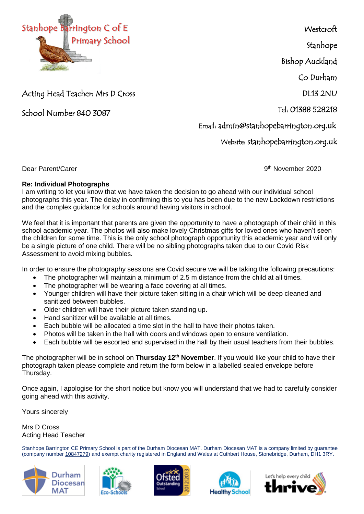

**Westcroft** 

Stanhope

Bishop Auckland

Co Durham

DL13 2NU

Tel: 01388 528218

Email: admin@stanhopebarrington.org.uk

Website: stanhopebarrington.org.uk

School Number 840 3087

Acting Head Teacher: Mrs D Cross

Dear Parent/Carer

9<sup>th</sup> November 2020

## **Re: Individual Photographs**

I am writing to let you know that we have taken the decision to go ahead with our individual school photographs this year. The delay in confirming this to you has been due to the new Lockdown restrictions and the complex guidance for schools around having visitors in school.

We feel that it is important that parents are given the opportunity to have a photograph of their child in this school academic year. The photos will also make lovely Christmas gifts for loved ones who haven't seen the children for some time. This is the only school photograph opportunity this academic year and will only be a single picture of one child. There will be no sibling photographs taken due to our Covid Risk Assessment to avoid mixing bubbles.

In order to ensure the photography sessions are Covid secure we will be taking the following precautions:

- The photographer will maintain a minimum of 2.5 m distance from the child at all times.
- The photographer will be wearing a face covering at all times.
- Younger children will have their picture taken sitting in a chair which will be deep cleaned and sanitized between bubbles.
- Older children will have their picture taken standing up.
- Hand sanitizer will be available at all times.
- Each bubble will be allocated a time slot in the hall to have their photos taken.
- Photos will be taken in the hall with doors and windows open to ensure ventilation.
- Each bubble will be escorted and supervised in the hall by their usual teachers from their bubbles.

The photographer will be in school on **Thursday 12th November**. If you would like your child to have their photograph taken please complete and return the form below in a labelled sealed envelope before Thursday.

Once again, I apologise for the short notice but know you will understand that we had to carefully consider going ahead with this activity.

Yours sincerely

Mrs D Cross Acting Head Teacher

Stanhope Barrington CE Primary School is part of the Durham Diocesan MAT. Durham Diocesan MAT is a company limited by guarantee (company number [10847279\)](tel:10847279) and exempt charity registered in England and Wales at Cuthbert House, Stonebridge, Durham, DH1 3RY.